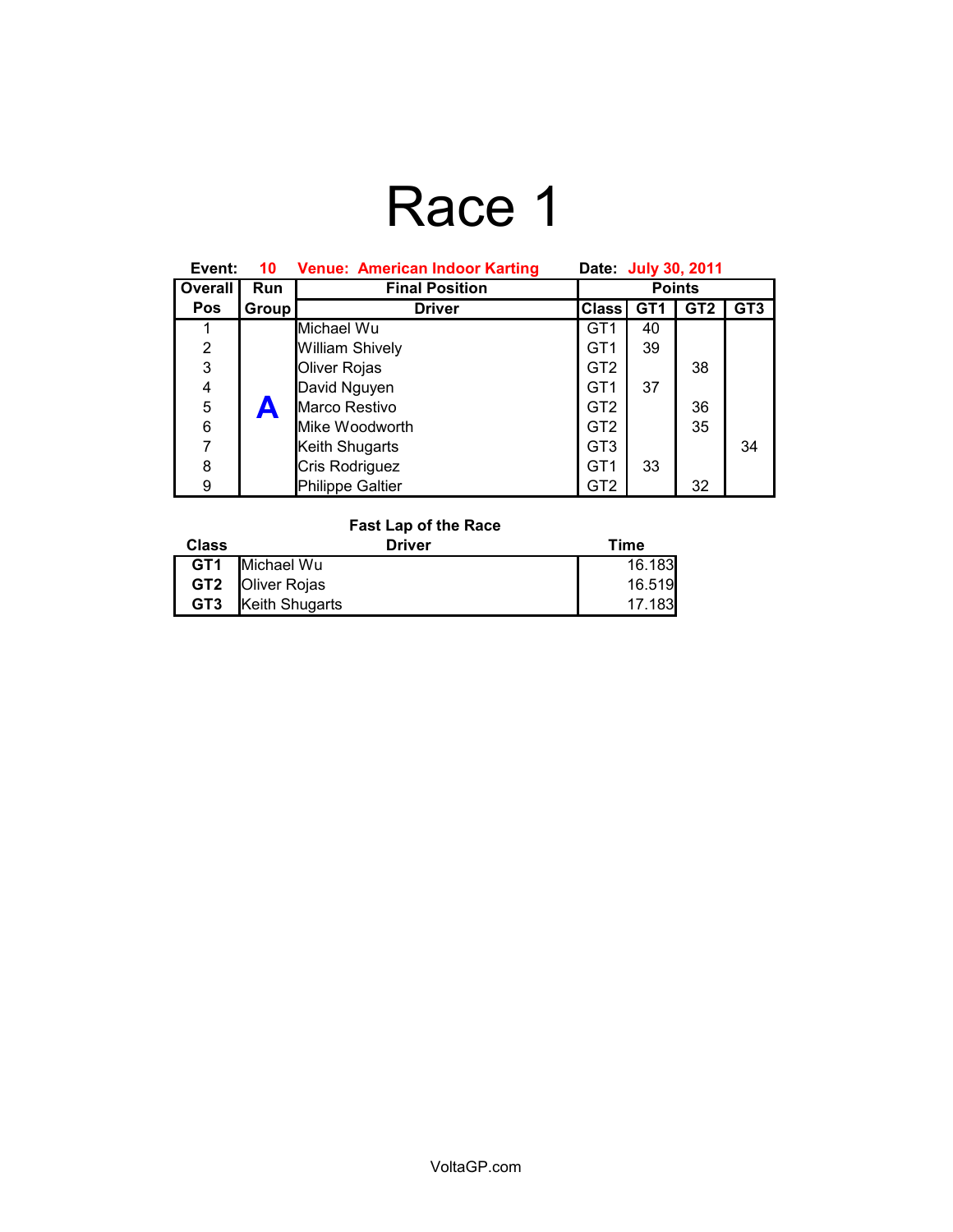# Race 1

| Event:         | 10         | <b>Venue: American Indoor Karting</b> | Date: July 30, 2011 |                 |                 |                 |
|----------------|------------|---------------------------------------|---------------------|-----------------|-----------------|-----------------|
| Overall        | <b>Run</b> | <b>Final Position</b>                 | <b>Points</b>       |                 |                 |                 |
| <b>Pos</b>     | Group      | <b>Driver</b>                         | <b>Class</b>        | GT <sub>1</sub> | GT <sub>2</sub> | GT <sub>3</sub> |
|                |            | Michael Wu                            | GT <sub>1</sub>     | 40              |                 |                 |
| $\overline{2}$ |            | William Shively                       | GT <sub>1</sub>     | 39              |                 |                 |
| 3              |            | Oliver Rojas                          | GT <sub>2</sub>     |                 | 38              |                 |
| 4              |            | David Nguyen                          | GT <sub>1</sub>     | 37              |                 |                 |
| 5              |            | Marco Restivo                         | GT <sub>2</sub>     |                 | 36              |                 |
| 6              |            | Mike Woodworth                        | GT <sub>2</sub>     |                 | 35              |                 |
| 7              |            | Keith Shugarts                        | GT <sub>3</sub>     |                 |                 | 34              |
| 8              |            | Cris Rodriguez                        | GT <sub>1</sub>     | 33              |                 |                 |
| 9              |            | <b>Philippe Galtier</b>               | GT2                 |                 | 32              |                 |

### **Fast Lap of the Race**

| Class           | Driver                  | Time   |
|-----------------|-------------------------|--------|
| GT <sub>1</sub> | Michael Wu              | 16.183 |
|                 | <b>GT2 Oliver Rojas</b> | 16.519 |
| GT <sub>3</sub> | Keith Shugarts          | 17.183 |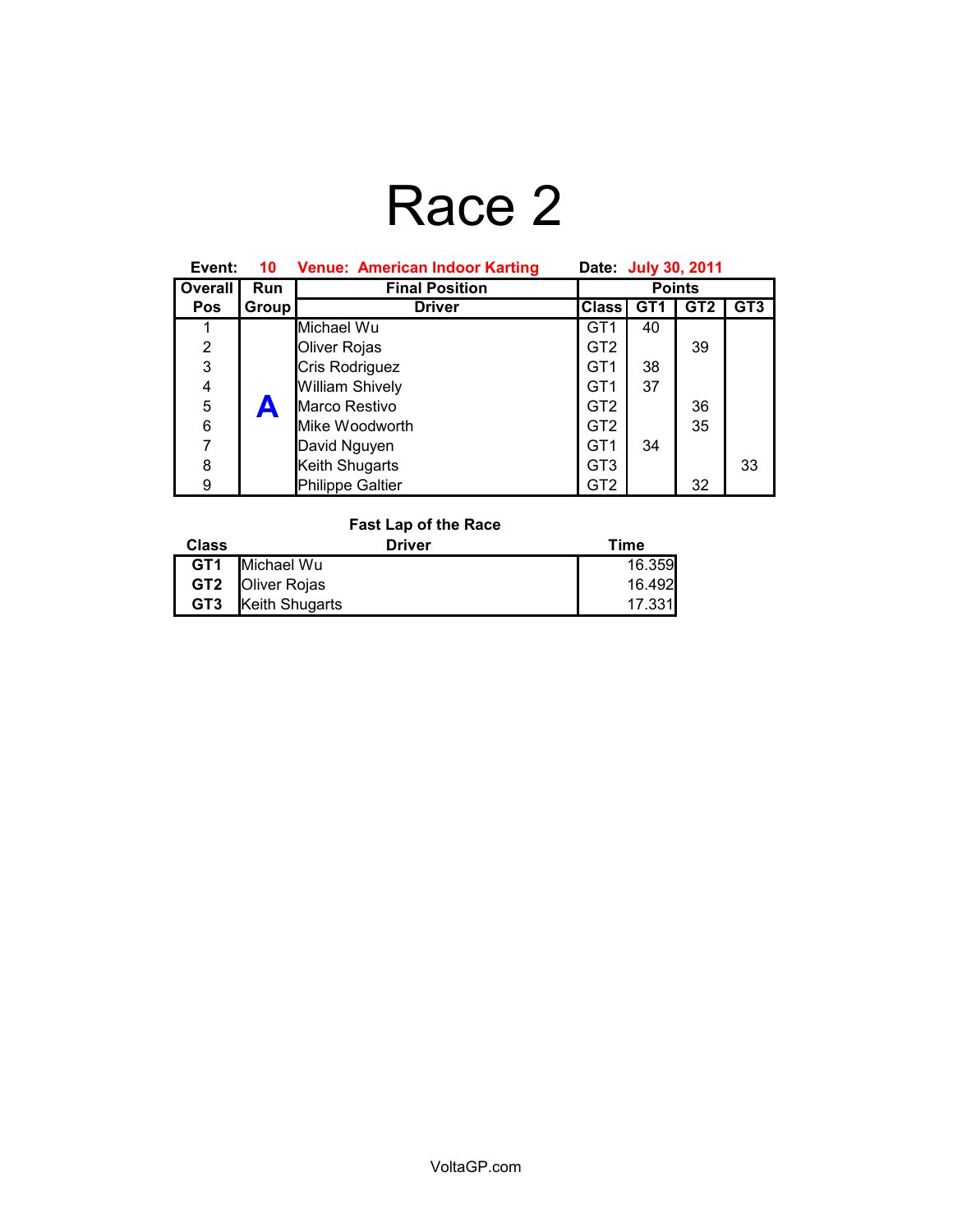## Race 2

| Event:         | 10         | <b>Venue: American Indoor Karting</b> | Date: July 30, 2011 |                 |                 |                 |
|----------------|------------|---------------------------------------|---------------------|-----------------|-----------------|-----------------|
| Overall        | <b>Run</b> | <b>Final Position</b>                 | <b>Points</b>       |                 |                 |                 |
| <b>Pos</b>     | Group      | <b>Driver</b>                         | <b>Class</b>        | GT <sub>1</sub> | GT <sub>2</sub> | GT <sub>3</sub> |
|                |            | Michael Wu                            | GT <sub>1</sub>     | 40              |                 |                 |
| $\overline{2}$ |            | Oliver Rojas                          | GT <sub>2</sub>     |                 | 39              |                 |
| 3              |            | Cris Rodriguez                        | GT <sub>1</sub>     | 38              |                 |                 |
| 4              |            | William Shively                       | GT <sub>1</sub>     | 37              |                 |                 |
| 5              |            | Marco Restivo                         | GT <sub>2</sub>     |                 | 36              |                 |
| 6              |            | Mike Woodworth                        | GT2                 |                 | 35              |                 |
| 7              |            | David Nguyen                          | GT <sub>1</sub>     | 34              |                 |                 |
| 8              |            | Keith Shugarts                        | GT <sub>3</sub>     |                 |                 | 33              |
| 9              |            | <b>Philippe Galtier</b>               | GT2                 |                 | 32              |                 |

### **Fast Lap of the Race**

| Class           | Driver                  | Time   |
|-----------------|-------------------------|--------|
| GT1             | Michael Wu              | 16.359 |
|                 | <b>GT2 Oliver Rojas</b> | 16.492 |
| GT <sub>3</sub> | Keith Shugarts          | 17.331 |